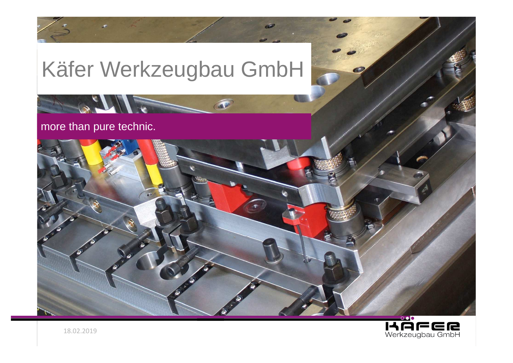

 $\bigcirc$ 





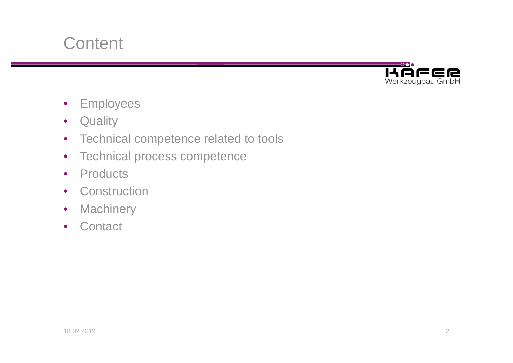



- $\bullet$ Employees
- $\bullet$ **Quality**
- Technical competence related to tools
- $\bullet$ Technical process competence
- $\bullet$ **Products**
- Construction
- $\bullet$ **Machinery**
- Contact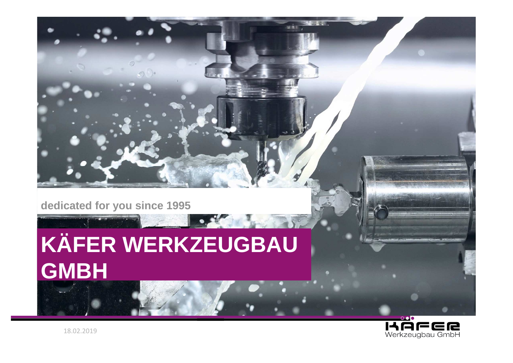

# **KÄFER WERKZEUGBAU GMBH**

 $\bullet$ 

 $32.81$ 

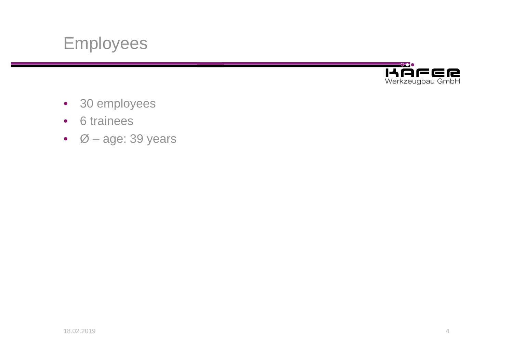



- 30 employees
- 6 trainees
- Ø age: 39 years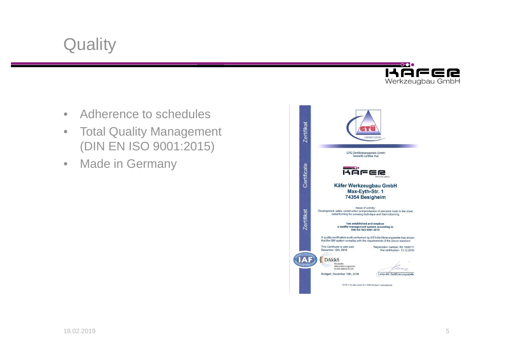

- •Adherence to schedules
- • Total Quality Management (DIN EN ISO 9001:2015)
- •Made in Germany

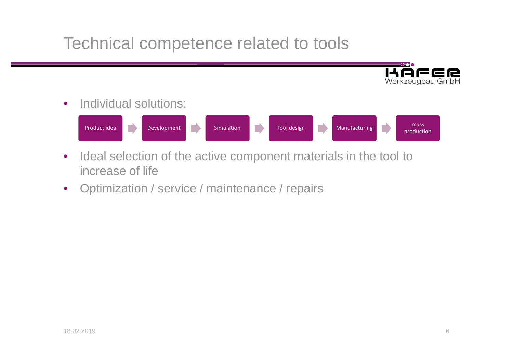#### Technical competence related to tools



•Individual solutions:



- $\bullet$  Ideal selection of the active component materials in the tool to increase of life
- $\bullet$ Optimization / service / maintenance / repairs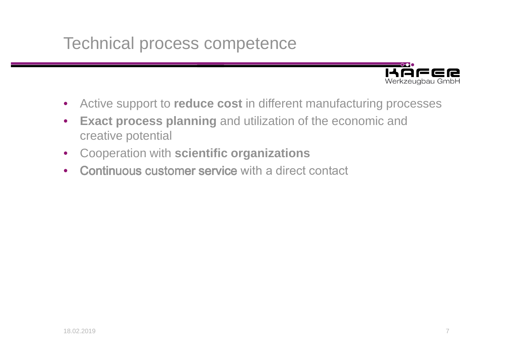#### Technical process competence



- $\bullet$ Active support to **reduce cost** in different manufacturing processes
- $\bullet$  **Exact process planning** and utilization of the economic and creative potential
- $\bullet$ Cooperation with **scientific organizations**
- $\bullet$ Continuous customer service with a direct contact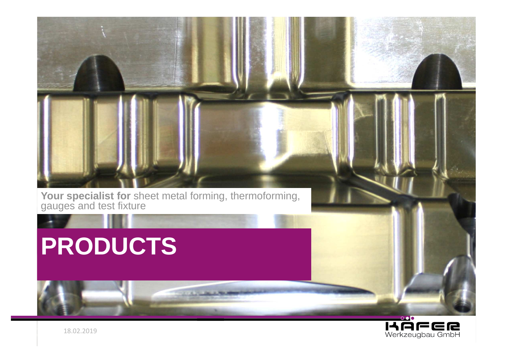

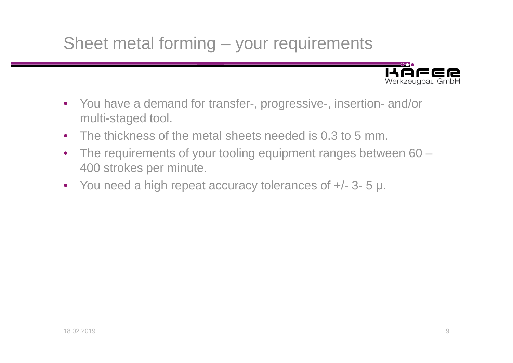## Sheet metal forming – your requirements



- You have a demand for transfer-, progressive-, insertion- and/or multi-staged tool.
- $\bullet$ The thickness of the metal sheets needed is 0.3 to 5 mm.
- $\bullet$  The requirements of your tooling equipment ranges between 60 –400 strokes per minute.
- You need a high repeat accuracy tolerances of +/- 3- <sup>5</sup> µ.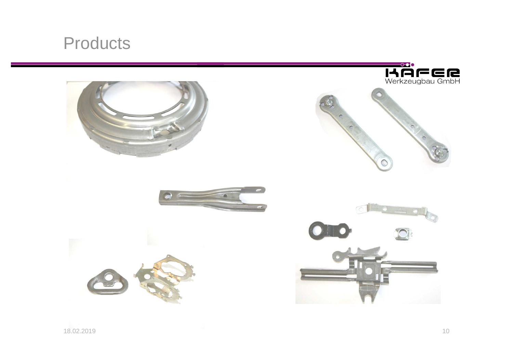#### **Products**

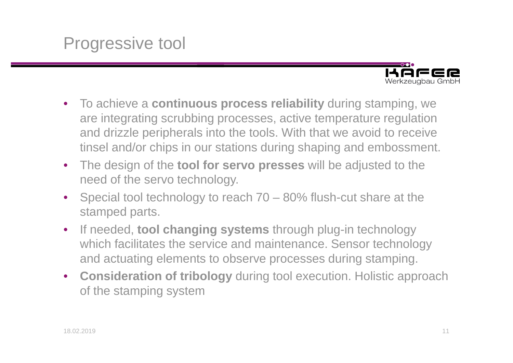

- To achieve a **continuous process reliability** during stamping, we are integrating scrubbing processes, active temperature regulation and drizzle peripherals into the tools. With that we avoid to receive tinsel and/or chips in our stations during shaping and embossment.
- $\bullet$  The design of the **tool for servo presses** will be adjusted to the need of the servo technology.
- $\bullet$  Special tool technology to reach 70 – 80% flush-cut share at the stamped parts.
- $\bullet$  If needed, **tool changing systems** through plug-in technology which facilitates the service and maintenance. Sensor technology and actuating elements to observe processes during stamping.
- **Consideration of tribology** during tool execution. Holistic approach of the stamping system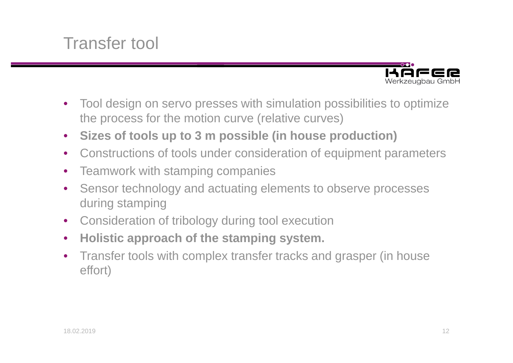#### Transfer tool



- $\bullet$  Tool design on servo presses with simulation possibilities to optimize the process for the motion curve (relative curves)
- $\bullet$ **Sizes of tools up to 3 m possible (in house production)**
- $\bullet$ Constructions of tools under consideration of equipment parameters
- $\bullet$ Teamwork with stamping companies
- $\bullet$  Sensor technology and actuating elements to observe processes during stamping
- $\bullet$ Consideration of tribology during tool execution
- $\bullet$ **Holistic approach of the stamping system.**
- $\bullet$  Transfer tools with complex transfer tracks and grasper (in house effort)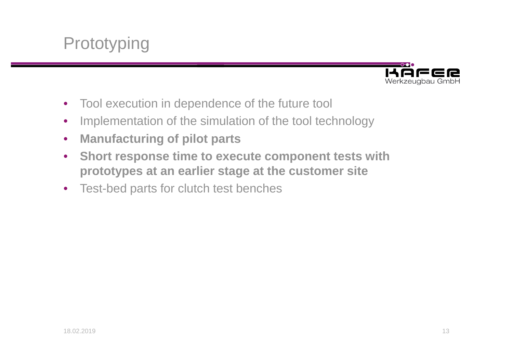



- $\bullet$ Tool execution in dependence of the future tool
- $\bullet$ Implementation of the simulation of the tool technology
- $\bullet$ **Manufacturing of pilot parts**
- $\bullet$  **Short response time to execute component tests withprototypes at an earlier stage at the customer site**
- Test-bed parts for clutch test benches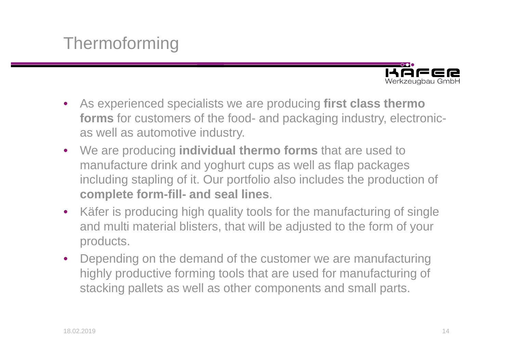#### **Thermoforming**



- As experienced specialists we are producing **first class thermo forms** for customers of the food- and packaging industry, electronicas well as automotive industry.
- We are producing **individual thermo forms** that are used to manufacture drink and yoghurt cups as well as flap packages including stapling of it. Our portfolio also includes the production of **complete form-fill- and seal lines**.
- $\bullet$  Käfer is producing high quality tools for the manufacturing of single and multi material blisters, that will be adjusted to the form of your products.
- Depending on the demand of the customer we are manufacturing highly productive forming tools that are used for manufacturing of stacking pallets as well as other components and small parts.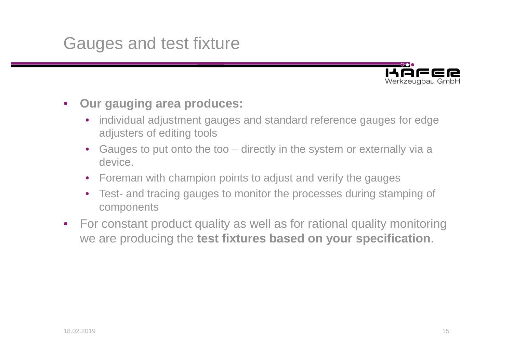#### Gauges and test fixture



- $\bullet$  **Our gauging area produces:**
	- $\bullet$  individual adjustment gauges and standard reference gauges for edge adjusters of editing tools
	- $\bullet$  Gauges to put onto the too – directly in the system or externally via a device.
	- $\bullet$ Foreman with champion points to adjust and verify the gauges
	- $\bullet$  Test- and tracing gauges to monitor the processes during stamping of components
- For constant product quality as well as for rational quality monitoring we are producing the **test fixtures based on your specification**.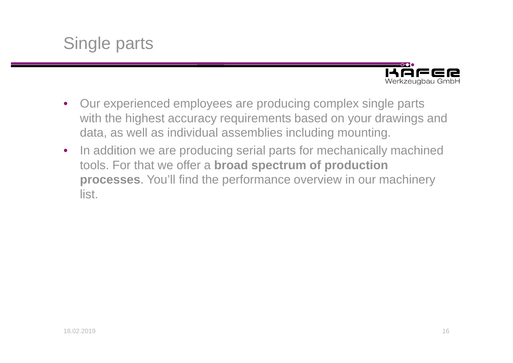



- Our experienced employees are producing complex single parts with the highest accuracy requirements based on your drawings and data, as well as individual assemblies including mounting.
- $\bullet$  In addition we are producing serial parts for mechanically machined tools. For that we offer a **broad spectrum of production processes**. You'll find the performance overview in our machinery list.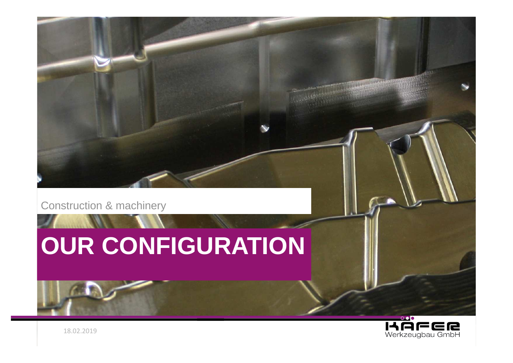

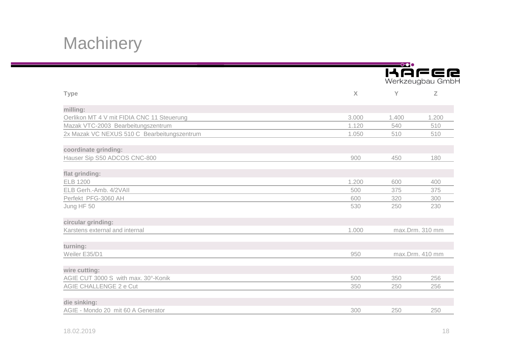## **Machinery**

|                                             |              | $\longrightarrow$<br><b>KAFER</b><br>Werkzeugbau GmbH |       |  |
|---------------------------------------------|--------------|-------------------------------------------------------|-------|--|
| <b>Type</b>                                 | $\mathsf{X}$ | Y                                                     | Z     |  |
| milling:                                    |              |                                                       |       |  |
| Oerlikon MT 4 V mit FIDIA CNC 11 Steuerung  | 3.000        | 1.400                                                 | 1.200 |  |
| Mazak VTC-2003 Bearbeitungszentrum          | 1.120        | 540                                                   | 510   |  |
| 2x Mazak VC NEXUS 510 C Bearbeitungszentrum | 1.050        | 510                                                   | 510   |  |
| coordinate grinding:                        |              |                                                       |       |  |
| Hauser Sip S50 ADCOS CNC-800                | 900          | 450                                                   | 180   |  |
| flat grinding:                              |              |                                                       |       |  |
| <b>ELB 1200</b>                             | 1.200        | 600                                                   | 400   |  |
| ELB Gerh.-Amb. 4/2VAII                      | 500          | 375                                                   | 375   |  |
| Perfekt PFG-3060 AH                         | 600          | 320                                                   | 300   |  |
| Jung HF 50                                  | 530          | 250                                                   | 230   |  |
| circular grinding:                          |              |                                                       |       |  |
| Karstens external and internal              | 1.000        | max.Drm. 310 mm                                       |       |  |
| turning:                                    |              |                                                       |       |  |
| Weiler E35/D1                               | 950          | max.Drm. 410 mm                                       |       |  |
| wire cutting:                               |              |                                                       |       |  |
| AGIE CUT 3000 S with max. 30°-Konik         | 500          | 350                                                   | 256   |  |
| AGIE CHALLENGE 2 e Cut                      | 350          | 250                                                   | 256   |  |
| die sinking:                                |              |                                                       |       |  |
| AGIE - Mondo 20 mit 60 A Generator          | 300          | 250                                                   | 250   |  |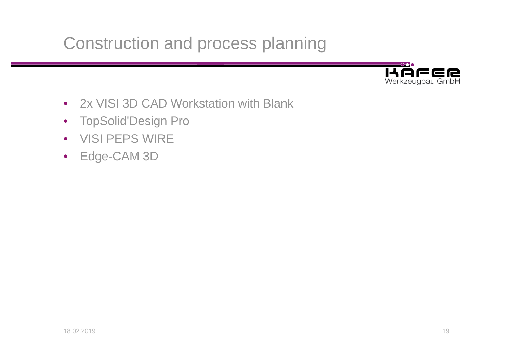Construction and process planning



- $\bullet$ 2x VISI 3D CAD Workstation with Blank
- TopSolid'Design Pro
- VISI PEPS WIRE
- Edge-CAM 3D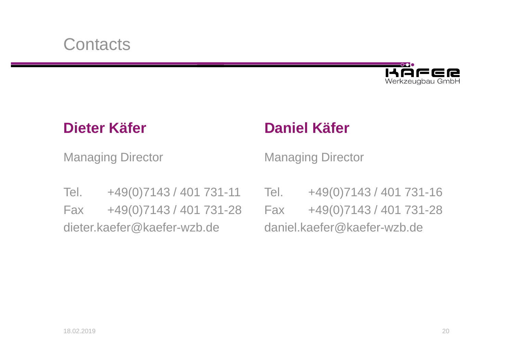

Managing Director

#### **Dieter Käfer Daniel Käfer**

Managing Director

Tel. +49(0)7143 / 401 731-11 Tel. +49(0)7143 / 401 731-16 Fax +49(0)7143 / 401 731-28dieter.kaefer@kaefer-wzb.de

 Fax +49(0)7143 / 401 731-28daniel.kaefer@kaefer-wzb.de